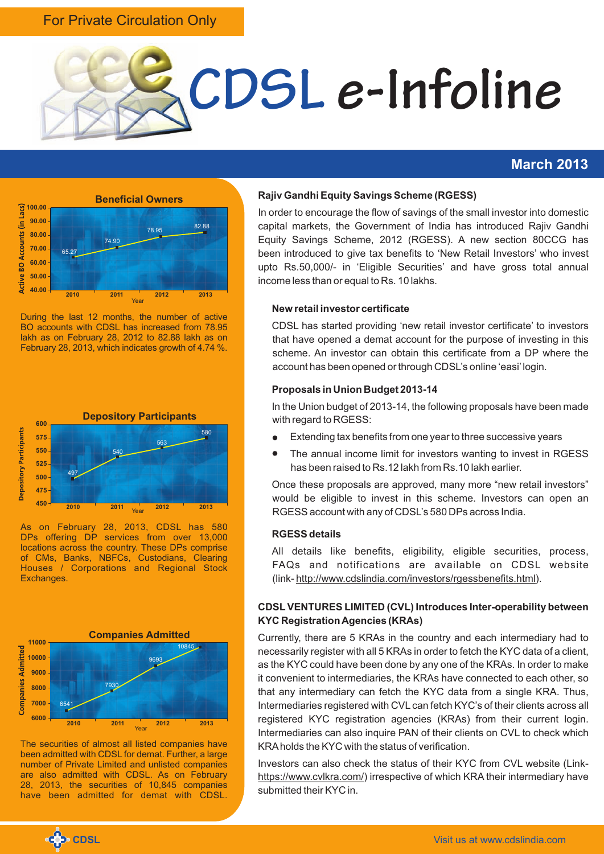## For Private Circulation Only



### **March 2013**



During the last 12 months, the number of active BO accounts with CDSL has increased from 78.95 lakh as on February 28, 2012 to 82.88 lakh as on February 28, 2013, which indicates growth of 4.74 %.



As on February 28, 2013, CDSL has 580 DPs offering DP services from over 13,000 locations across the country. These DPs comprise of CMs, Banks, NBFCs, Custodians, Clearing Houses / Corporations and Regional Stock Exchanges.



The securities of almost all listed companies have been admitted with CDSL for demat. Further, a large number of Private Limited and unlisted companies are also admitted with CDSL. As on February 28, 2013, the securities of 10,845 companies have been admitted for demat with CDSL.

#### **Rajiv Gandhi Equity Savings Scheme (RGESS)**

In order to encourage the flow of savings of the small investor into domestic capital markets, the Government of India has introduced Rajiv Gandhi Equity Savings Scheme, 2012 (RGESS). A new section 80CCG has been introduced to give tax benefits to 'New Retail Investors' who invest upto Rs.50,000/- in 'Eligible Securities' and have gross total annual income less than or equal to Rs. 10 lakhs.

#### **New retail investor certificate**

CDSL has started providing 'new retail investor certificate' to investors that have opened a demat account for the purpose of investing in this scheme. An investor can obtain this certificate from a DP where the account has been opened or through CDSL's online 'easi' login.

#### **Proposals in Union Budget 2013-14**

In the Union budget of 2013-14, the following proposals have been made with regard to RGESS:

- Extending tax benefits from one year to three successive years
- The annual income limit for investors wanting to invest in RGESS has been raised to Rs.12 lakh from Rs.10 lakh earlier.

Once these proposals are approved, many more "new retail investors" would be eligible to invest in this scheme. Investors can open an RGESS account with any of CDSL's 580 DPs across India.

#### **RGESS details**

All details like benefits, eligibility, eligible securities, process, FAQs and notifications are available on CDSL website (link- http://www.cdslindia.com/investors/rgessbenefits.html).

#### **CDSL VENTURES LIMITED (CVL) Introduces Inter-operability between KYC Registration Agencies (KRAs)**

Currently, there are 5 KRAs in the country and each intermediary had to necessarily register with all 5 KRAs in order to fetch the KYC data of a client, as the KYC could have been done by any one of the KRAs. In order to make it convenient to intermediaries, the KRAs have connected to each other, so that any intermediary can fetch the KYC data from a single KRA. Thus, Intermediaries registered with CVLcan fetch KYC's of their clients across all registered KYC registration agencies (KRAs) from their current login. Intermediaries can also inquire PAN of their clients on CVL to check which KRAholds the KYC with the status of verification.

Investors can also check the status of their KYC from CVL website (Linkhttps://www.cvlkra.com/) irrespective of which KRA their intermediary have submitted their KYC in.

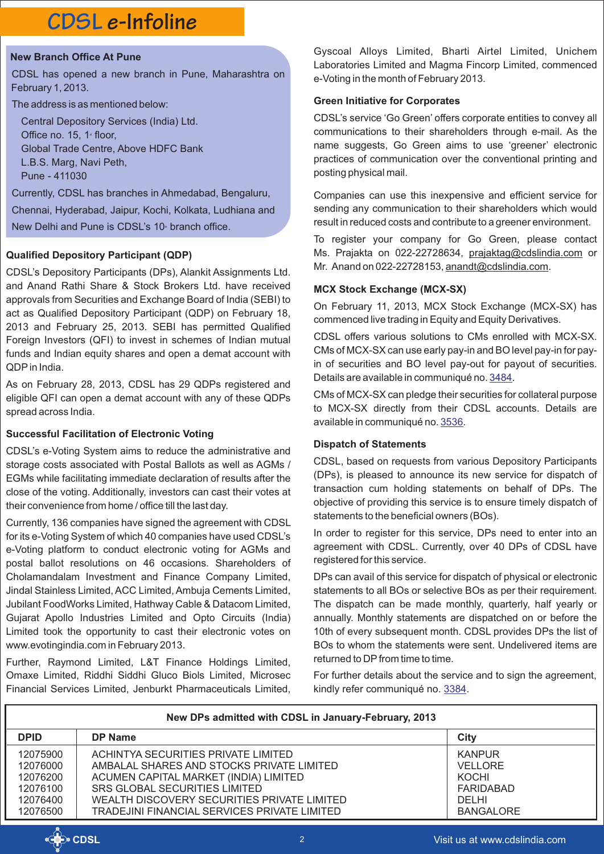# **CDSL e-Infoline**

#### **New Branch Office At Pune**

CDSL has opened a new branch in Pune, Maharashtra on February 1, 2013.

The address is as mentioned below:

Central Depository Services (India) Ltd. Office no. 15, 1<sup>*\**</sup> floor, Global Trade Centre, Above HDFC Bank L.B.S. Marg, Navi Peth, Pune - 411030

Currently, CDSL has branches in Ahmedabad, Bengaluru,

Chennai, Hyderabad, Jaipur, Kochi, Kolkata, Ludhiana and

New Delhi and Pune is CDSL's 10<sup>®</sup> branch office.

#### **Qualified Depository Participant (QDP)**

CDSL's Depository Participants (DPs), Alankit Assignments Ltd. and Anand Rathi Share & Stock Brokers Ltd. have received approvals from Securities and Exchange Board of India (SEBI) to act as Qualified Depository Participant (QDP) on February 18, 2013 and February 25, 2013. SEBI has permitted Qualified Foreign Investors (QFI) to invest in schemes of Indian mutual funds and Indian equity shares and open a demat account with QDPin India.

As on February 28, 2013, CDSL has 29 QDPs registered and eligible QFI can open a demat account with any of these QDPs spread across India.

#### **Successful Facilitation of Electronic Voting**

CDSL's e-Voting System aims to reduce the administrative and storage costs associated with Postal Ballots as well as AGMs / EGMs while facilitating immediate declaration of results after the close of the voting. Additionally, investors can cast their votes at their convenience from home / office till the last day.

Currently, 136 companies have signed the agreement with CDSL for its e-Voting System of which 40 companies have used CDSL's e-Voting platform to conduct electronic voting for AGMs and postal ballot resolutions on 46 occasions. Shareholders of Cholamandalam Investment and Finance Company Limited, Jindal Stainless Limited, ACC Limited, Ambuja Cements Limited, Jubilant FoodWorks Limited, Hathway Cable & Datacom Limited, Gujarat Apollo Industries Limited and Opto Circuits (India) Limited took the opportunity to cast their electronic votes on www.evotingindia.com in February 2013.

Further, Raymond Limited, L&T Finance Holdings Limited, Omaxe Limited, Riddhi Siddhi Gluco Biols Limited, Microsec Financial Services Limited, Jenburkt Pharmaceuticals Limited,

Gyscoal Alloys Limited, Bharti Airtel Limited, Unichem Laboratories Limited and Magma Fincorp Limited, commenced e-Voting in the month of February 2013.

#### **Green Initiative for Corporates**

CDSL's service 'Go Green'offers corporate entities to convey all communications to their shareholders through e-mail. As the name suggests, Go Green aims to use 'greener' electronic practices of communication over the conventional printing and posting physical mail.

Companies can use this inexpensive and efficient service for sending any communication to their shareholders which would result in reduced costs and contribute to a greener environment.

To register your company for Go Green, please contact Ms. Prajakta on 022-22728634, prajaktag@cdslindia.com or Mr. Anand on 022-22728153, anandt@cdslindia.com.

#### **MCX Stock Exchange (MCX-SX)**

On February 11, 2013, MCX Stock Exchange (MCX-SX) has commenced live trading in Equity and Equity Derivatives.

CDSL offers various solutions to CMs enrolled with MCX-SX. CMs of MCX-SX can use early pay-in and BO level pay-in for payin of securities and BO level pay-out for payout of securities. Detailsare available in communiqué no. 3484.

CMs of MCX-SX can pledge their securities for collateral purpose to MCX-SX directly from their CDSL accounts. Details are availablein communiqué no. 3536.

#### **Dispatch of Statements**

CDSL, based on requests from various Depository Participants (DPs), is pleased to announce its new service for dispatch of transaction cum holding statements on behalf of DPs. The objective of providing this service is to ensure timely dispatch of statements to the beneficial owners (BOs).

In order to register for this service, DPs need to enter into an agreement with CDSL. Currently, over 40 DPs of CDSL have registered for this service.

DPs can avail of this service for dispatch of physical or electronic statements to all BOs or selective BOs as per their requirement. The dispatch can be made monthly, quarterly, half yearly or annually. Monthly statements are dispatched on or before the 10th of every subsequent month. CDSL provides DPs the list of BOs to whom the statements were sent. Undelivered items are returned to DP from time to time.

For further details about the service and to sign the agreement, kindlyrefer communiqué no. 3384.

| New DPs admitted with CDSL in January-February, 2013                 |                                                                                                                                                                                                                                                                  |                                                                                           |
|----------------------------------------------------------------------|------------------------------------------------------------------------------------------------------------------------------------------------------------------------------------------------------------------------------------------------------------------|-------------------------------------------------------------------------------------------|
| <b>DPID</b>                                                          | DP Name                                                                                                                                                                                                                                                          | City                                                                                      |
| 12075900<br>12076000<br>12076200<br>12076100<br>12076400<br>12076500 | ACHINTYA SECURITIES PRIVATE LIMITED<br>AMBALAL SHARES AND STOCKS PRIVATE LIMITED<br>ACUMEN CAPITAL MARKET (INDIA) LIMITED<br><b>SRS GLOBAL SECURITIES LIMITED</b><br>WEALTH DISCOVERY SECURITIES PRIVATE LIMITED<br>TRADEJINI FINANCIAL SERVICES PRIVATE LIMITED | <b>KANPUR</b><br><b>VELLORE</b><br>KOCHI<br>FARIDABAD<br><b>DELHI</b><br><b>BANGALORE</b> |